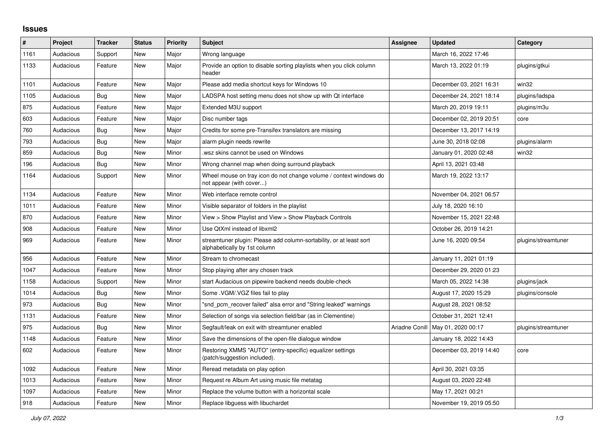## **Issues**

| #    | Project   | <b>Tracker</b> | <b>Status</b> | <b>Priority</b> | <b>Subject</b>                                                                                      | Assignee       | <b>Updated</b>          | Category            |
|------|-----------|----------------|---------------|-----------------|-----------------------------------------------------------------------------------------------------|----------------|-------------------------|---------------------|
| 1161 | Audacious | Support        | <b>New</b>    | Major           | Wrong language                                                                                      |                | March 16, 2022 17:46    |                     |
| 1133 | Audacious | Feature        | New           | Major           | Provide an option to disable sorting playlists when you click column<br>header                      |                | March 13, 2022 01:19    | plugins/gtkui       |
| 1101 | Audacious | Feature        | <b>New</b>    | Major           | Please add media shortcut keys for Windows 10                                                       |                | December 03, 2021 16:31 | win32               |
| 1105 | Audacious | <b>Bug</b>     | <b>New</b>    | Major           | LADSPA host setting menu does not show up with Qt interface                                         |                | December 24, 2021 18:14 | plugins/ladspa      |
| 875  | Audacious | Feature        | <b>New</b>    | Major           | Extended M3U support                                                                                |                | March 20, 2019 19:11    | plugins/m3u         |
| 603  | Audacious | Feature        | <b>New</b>    | Major           | Disc number tags                                                                                    |                | December 02, 2019 20:51 | core                |
| 760  | Audacious | <b>Bug</b>     | <b>New</b>    | Major           | Credits for some pre-Transifex translators are missing                                              |                | December 13, 2017 14:19 |                     |
| 793  | Audacious | Bug            | <b>New</b>    | Major           | alarm plugin needs rewrite                                                                          |                | June 30, 2018 02:08     | plugins/alarm       |
| 859  | Audacious | Bug            | <b>New</b>    | Minor           | wsz skins cannot be used on Windows                                                                 |                | January 01, 2020 02:48  | win32               |
| 196  | Audacious | <b>Bug</b>     | <b>New</b>    | Minor           | Wrong channel map when doing surround playback                                                      |                | April 13, 2021 03:48    |                     |
| 1164 | Audacious | Support        | <b>New</b>    | Minor           | Wheel mouse on tray icon do not change volume / context windows do<br>not appear (with cover)       |                | March 19, 2022 13:17    |                     |
| 1134 | Audacious | Feature        | <b>New</b>    | Minor           | Web interface remote control                                                                        |                | November 04, 2021 06:57 |                     |
| 1011 | Audacious | Feature        | New           | Minor           | Visible separator of folders in the playlist                                                        |                | July 18, 2020 16:10     |                     |
| 870  | Audacious | Feature        | <b>New</b>    | Minor           | View > Show Playlist and View > Show Playback Controls                                              |                | November 15, 2021 22:48 |                     |
| 908  | Audacious | Feature        | <b>New</b>    | Minor           | Use QtXml instead of libxml2                                                                        |                | October 26, 2019 14:21  |                     |
| 969  | Audacious | Feature        | New           | Minor           | streamtuner plugin: Please add column-sortability, or at least sort<br>alphabetically by 1st column |                | June 16, 2020 09:54     | plugins/streamtuner |
| 956  | Audacious | Feature        | <b>New</b>    | Minor           | Stream to chromecast                                                                                |                | January 11, 2021 01:19  |                     |
| 1047 | Audacious | Feature        | New           | Minor           | Stop playing after any chosen track                                                                 |                | December 29, 2020 01:23 |                     |
| 1158 | Audacious | Support        | <b>New</b>    | Minor           | start Audacious on pipewire backend needs double-check                                              |                | March 05, 2022 14:38    | plugins/jack        |
| 1014 | Audacious | <b>Bug</b>     | <b>New</b>    | Minor           | Some .VGM/.VGZ files fail to play                                                                   |                | August 17, 2020 15:29   | plugins/console     |
| 973  | Audacious | Bug            | New           | Minor           | "snd pcm recover failed" alsa error and "String leaked" warnings                                    |                | August 28, 2021 08:52   |                     |
| 1131 | Audacious | Feature        | <b>New</b>    | Minor           | Selection of songs via selection field/bar (as in Clementine)                                       |                | October 31, 2021 12:41  |                     |
| 975  | Audacious | <b>Bug</b>     | <b>New</b>    | Minor           | Segfault/leak on exit with streamtuner enabled                                                      | Ariadne Conill | May 01, 2020 00:17      | plugins/streamtuner |
| 1148 | Audacious | Feature        | <b>New</b>    | Minor           | Save the dimensions of the open-file dialogue window                                                |                | January 18, 2022 14:43  |                     |
| 602  | Audacious | Feature        | New           | Minor           | Restoring XMMS "AUTO" (entry-specific) equalizer settings<br>(patch/suggestion included).           |                | December 03, 2019 14:40 | core                |
| 1092 | Audacious | Feature        | New           | Minor           | Reread metadata on play option                                                                      |                | April 30, 2021 03:35    |                     |
| 1013 | Audacious | Feature        | New           | Minor           | Request re Album Art using music file metatag                                                       |                | August 03, 2020 22:48   |                     |
| 1097 | Audacious | Feature        | <b>New</b>    | Minor           | Replace the volume button with a horizontal scale                                                   |                | May 17, 2021 00:21      |                     |
| 918  | Audacious | Feature        | New           | Minor           | Replace libguess with libuchardet                                                                   |                | November 19, 2019 05:50 |                     |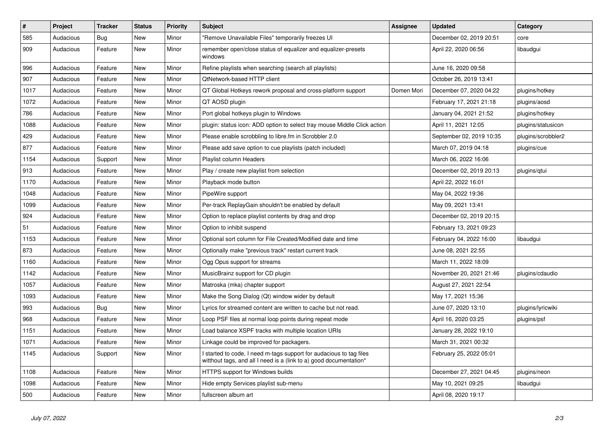| $\vert$ # | Project   | <b>Tracker</b> | <b>Status</b> | <b>Priority</b> | <b>Subject</b>                                                                                                                            | Assignee   | <b>Updated</b>           | Category           |
|-----------|-----------|----------------|---------------|-----------------|-------------------------------------------------------------------------------------------------------------------------------------------|------------|--------------------------|--------------------|
| 585       | Audacious | Bug            | <b>New</b>    | Minor           | "Remove Unavailable Files" temporarily freezes UI                                                                                         |            | December 02, 2019 20:51  | core               |
| 909       | Audacious | Feature        | <b>New</b>    | Minor           | remember open/close status of equalizer and equalizer-presets<br>windows                                                                  |            | April 22, 2020 06:56     | libaudgui          |
| 996       | Audacious | Feature        | <b>New</b>    | Minor           | Refine playlists when searching (search all playlists)                                                                                    |            | June 16, 2020 09:58      |                    |
| 907       | Audacious | Feature        | <b>New</b>    | Minor           | QtNetwork-based HTTP client                                                                                                               |            | October 26, 2019 13:41   |                    |
| 1017      | Audacious | Feature        | <b>New</b>    | Minor           | QT Global Hotkeys rework proposal and cross-platform support                                                                              | Domen Mori | December 07, 2020 04:22  | plugins/hotkey     |
| 1072      | Audacious | Feature        | <b>New</b>    | Minor           | QT AOSD plugin                                                                                                                            |            | February 17, 2021 21:18  | plugins/aosd       |
| 786       | Audacious | Feature        | <b>New</b>    | Minor           | Port global hotkeys plugin to Windows                                                                                                     |            | January 04, 2021 21:52   | plugins/hotkey     |
| 1088      | Audacious | Feature        | <b>New</b>    | Minor           | plugin: status icon: ADD option to select tray mouse Middle Click action                                                                  |            | April 11, 2021 12:05     | plugins/statusicon |
| 429       | Audacious | Feature        | <b>New</b>    | Minor           | Please enable scrobbling to libre.fm in Scrobbler 2.0                                                                                     |            | September 02, 2019 10:35 | plugins/scrobbler2 |
| 877       | Audacious | Feature        | <b>New</b>    | Minor           | Please add save option to cue playlists (patch included)                                                                                  |            | March 07, 2019 04:18     | plugins/cue        |
| 1154      | Audacious | Support        | <b>New</b>    | Minor           | Playlist column Headers                                                                                                                   |            | March 06, 2022 16:06     |                    |
| 913       | Audacious | Feature        | <b>New</b>    | Minor           | Play / create new playlist from selection                                                                                                 |            | December 02, 2019 20:13  | plugins/qtui       |
| 1170      | Audacious | Feature        | <b>New</b>    | Minor           | Playback mode button                                                                                                                      |            | April 22, 2022 16:01     |                    |
| 1048      | Audacious | Feature        | New           | Minor           | PipeWire support                                                                                                                          |            | May 04, 2022 19:36       |                    |
| 1099      | Audacious | Feature        | <b>New</b>    | Minor           | Per-track ReplayGain shouldn't be enabled by default                                                                                      |            | May 09, 2021 13:41       |                    |
| 924       | Audacious | Feature        | <b>New</b>    | Minor           | Option to replace playlist contents by drag and drop                                                                                      |            | December 02, 2019 20:15  |                    |
| 51        | Audacious | Feature        | <b>New</b>    | Minor           | Option to inhibit suspend                                                                                                                 |            | February 13, 2021 09:23  |                    |
| 1153      | Audacious | Feature        | <b>New</b>    | Minor           | Optional sort column for File Created/Modified date and time                                                                              |            | February 04, 2022 16:00  | libaudgui          |
| 873       | Audacious | Feature        | <b>New</b>    | Minor           | Optionally make "previous track" restart current track                                                                                    |            | June 08, 2021 22:55      |                    |
| 1160      | Audacious | Feature        | <b>New</b>    | Minor           | Ogg Opus support for streams                                                                                                              |            | March 11, 2022 18:09     |                    |
| 1142      | Audacious | Feature        | <b>New</b>    | Minor           | MusicBrainz support for CD plugin                                                                                                         |            | November 20, 2021 21:46  | plugins/cdaudio    |
| 1057      | Audacious | Feature        | <b>New</b>    | Minor           | Matroska (mka) chapter support                                                                                                            |            | August 27, 2021 22:54    |                    |
| 1093      | Audacious | Feature        | New           | Minor           | Make the Song Dialog (Qt) window wider by default                                                                                         |            | May 17, 2021 15:36       |                    |
| 993       | Audacious | <b>Bug</b>     | New           | Minor           | Lyrics for streamed content are written to cache but not read.                                                                            |            | June 07, 2020 13:10      | plugins/lyricwiki  |
| 968       | Audacious | Feature        | <b>New</b>    | Minor           | Loop PSF files at normal loop points during repeat mode                                                                                   |            | April 16, 2020 03:25     | plugins/psf        |
| 1151      | Audacious | Feature        | <b>New</b>    | Minor           | Load balance XSPF tracks with multiple location URIs                                                                                      |            | January 28, 2022 19:10   |                    |
| 1071      | Audacious | Feature        | <b>New</b>    | Minor           | Linkage could be improved for packagers.                                                                                                  |            | March 31, 2021 00:32     |                    |
| 1145      | Audacious | Support        | <b>New</b>    | Minor           | I started to code, I need m-tags support for audacious to tag files<br>witthout tags, and all I need is a (link to a) good documentation* |            | February 25, 2022 05:01  |                    |
| 1108      | Audacious | Feature        | <b>New</b>    | Minor           | HTTPS support for Windows builds                                                                                                          |            | December 27, 2021 04:45  | plugins/neon       |
| 1098      | Audacious | Feature        | <b>New</b>    | Minor           | Hide empty Services playlist sub-menu                                                                                                     |            | May 10, 2021 09:25       | libaudgui          |
| 500       | Audacious | Feature        | <b>New</b>    | Minor           | fullscreen album art                                                                                                                      |            | April 08, 2020 19:17     |                    |